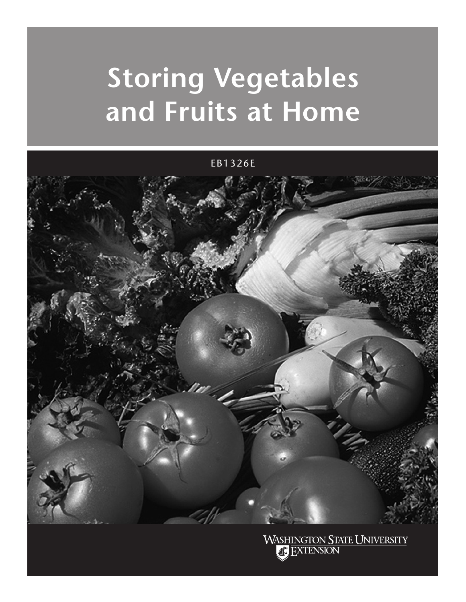# **Storing Vegetables and Fruits at Home**

EB1326E



**WASHINGTON STATE UNIVERSITY FXTENSION**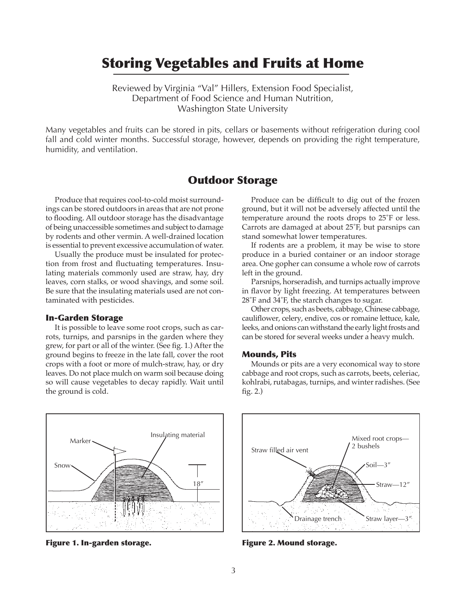## Storing Vegetables and Fruits at Home

Reviewed by Virginia "Val" Hillers, Extension Food Specialist, Department of Food Science and Human Nutrition, Washington State University

Many vegetables and fruits can be stored in pits, cellars or basements without refrigeration during cool fall and cold winter months. Successful storage, however, depends on providing the right temperature, humidity, and ventilation.

## Outdoor Storage

Produce that requires cool-to-cold moist surroundings can be stored outdoors in areas that are not prone to flooding. All outdoor storage has the disadvantage of being unaccessible sometimes and subject to damage by rodents and other vermin. A well-drained location is essential to prevent excessive accumulation of water.

Usually the produce must be insulated for protection from frost and fluctuating temperatures. Insulating materials commonly used are straw, hay, dry leaves, corn stalks, or wood shavings, and some soil. Be sure that the insulating materials used are not contaminated with pesticides.

#### In-Garden Storage

It is possible to leave some root crops, such as carrots, turnips, and parsnips in the garden where they grew, for part or all of the winter. (See fig. 1.) After the ground begins to freeze in the late fall, cover the root crops with a foot or more of mulch-straw, hay, or dry leaves. Do not place mulch on warm soil because doing so will cause vegetables to decay rapidly. Wait until the ground is cold.

Produce can be difficult to dig out of the frozen ground, but it will not be adversely affected until the temperature around the roots drops to 25˚F or less. Carrots are damaged at about 25˚F, but parsnips can stand somewhat lower temperatures.

If rodents are a problem, it may be wise to store produce in a buried container or an indoor storage area. One gopher can consume a whole row of carrots left in the ground.

Parsnips, horseradish, and turnips actually improve in flavor by light freezing. At temperatures between 28˚F and 34˚F, the starch changes to sugar.

Other crops, such as beets, cabbage, Chinese cabbage, cauliflower, celery, endive, cos or romaine lettuce, kale, leeks, and onions can withstand the early light frosts and can be stored for several weeks under a heavy mulch.

#### Mounds, Pits

Mounds or pits are a very economical way to store cabbage and root crops, such as carrots, beets, celeriac, kohlrabi, rutabagas, turnips, and winter radishes. (See fig. 2.)



Figure 1. In-garden storage.



Figure 2. Mound storage.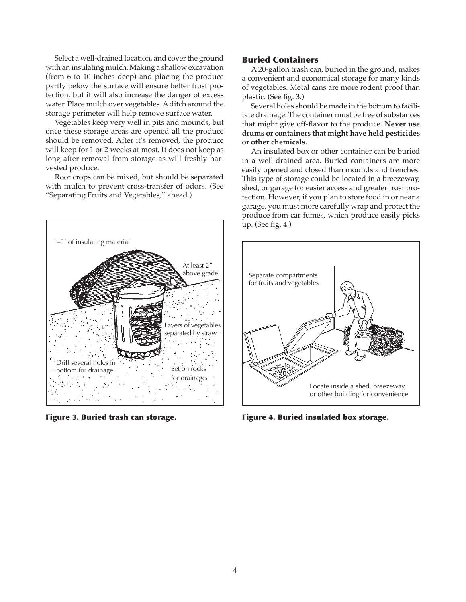Select a well-drained location, and cover the ground with an insulating mulch. Making a shallow excavation (from 6 to 10 inches deep) and placing the produce partly below the surface will ensure better frost protection, but it will also increase the danger of excess water. Place mulch over vegetables. A ditch around the storage perimeter will help remove surface water.

Vegetables keep very well in pits and mounds, but once these storage areas are opened all the produce should be removed. After it's removed, the produce will keep for 1 or 2 weeks at most. It does not keep as long after removal from storage as will freshly harvested produce.

Root crops can be mixed, but should be separated with mulch to prevent cross-transfer of odors. (See "Separating Fruits and Vegetables," ahead.)



Figure 3. Buried trash can storage.

#### Buried Containers

A 20-gallon trash can, buried in the ground, makes a convenient and economical storage for many kinds of vegetables. Metal cans are more rodent proof than plastic. (See fig. 3.)

Several holes should be made in the bottom to facilitate drainage. The container must be free of substances that might give off-flavor to the produce. **Never use drums or containers that might have held pesticides or other chemicals.**

An insulated box or other container can be buried in a well-drained area. Buried containers are more easily opened and closed than mounds and trenches. This type of storage could be located in a breezeway, shed, or garage for easier access and greater frost protection. However, if you plan to store food in or near a garage, you must more carefully wrap and protect the produce from car fumes, which produce easily picks up. (See fig. 4.)



Figure 4. Buried insulated box storage.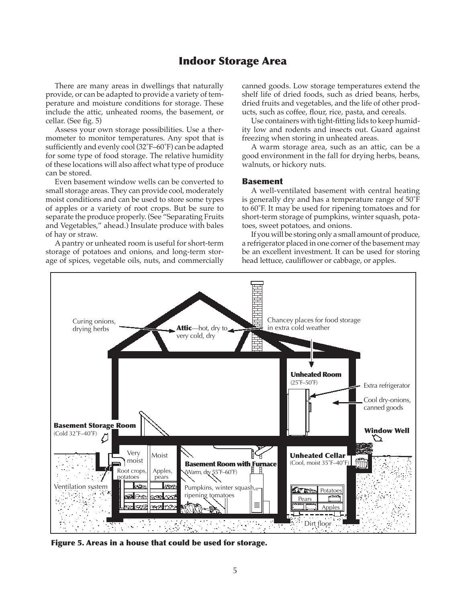## Indoor Storage Area

There are many areas in dwellings that naturally provide, or can be adapted to provide a variety of temperature and moisture conditions for storage. These include the attic, unheated rooms, the basement, or cellar. (See fig. 5)

Assess your own storage possibilities. Use a thermometer to monitor temperatures. Any spot that is sufficiently and evenly cool (32˚F–60˚F) can be adapted for some type of food storage. The relative humidity of these locations will also affect what type of produce can be stored.

Even basement window wells can be converted to small storage areas. They can provide cool, moderately moist conditions and can be used to store some types of apples or a variety of root crops. But be sure to separate the produce properly. (See "Separating Fruits and Vegetables," ahead.) Insulate produce with bales of hay or straw.

A pantry or unheated room is useful for short-term storage of potatoes and onions, and long-term storage of spices, vegetable oils, nuts, and commercially canned goods. Low storage temperatures extend the shelf life of dried foods, such as dried beans, herbs, dried fruits and vegetables, and the life of other products, such as coffee, flour, rice, pasta, and cereals.

Use containers with tight-fitting lids to keep humidity low and rodents and insects out. Guard against freezing when storing in unheated areas.

A warm storage area, such as an attic, can be a good environment in the fall for drying herbs, beans, walnuts, or hickory nuts.

#### Basement

A well-ventilated basement with central heating is generally dry and has a temperature range of 50˚F to 60˚F. It may be used for ripening tomatoes and for short-term storage of pumpkins, winter squash, potatoes, sweet potatoes, and onions.

If you will be storing only a small amount of produce, a refrigerator placed in one corner of the basement may be an excellent investment. It can be used for storing head lettuce, cauliflower or cabbage, or apples.



Figure 5. Areas in a house that could be used for storage.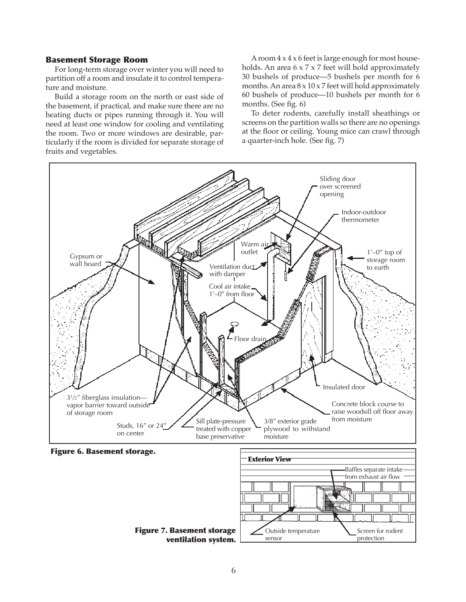#### Basement Storage Room

For long-term storage over winter you will need to partition off a room and insulate it to control temperature and moisture.

Build a storage room on the north or east side of the basement, if practical, and make sure there are no heating ducts or pipes running through it. You will need at least one window for cooling and ventilating the room. Two or more windows are desirable, particularly if the room is divided for separate storage of fruits and vegetables.

A room 4 x 4 x 6 feet is large enough for most households. An area 6 x 7 x 7 feet will hold approximately 30 bushels of produce—5 bushels per month for 6 months. An area  $8 \times 10 \times 7$  feet will hold approximately 60 bushels of produce—10 bushels per month for 6 months. (See fig. 6)

To deter rodents, carefully install sheathings or screens on the partition walls so there are no openings at the floor or ceiling. Young mice can crawl through a quarter-inch hole. (See fig. 7)

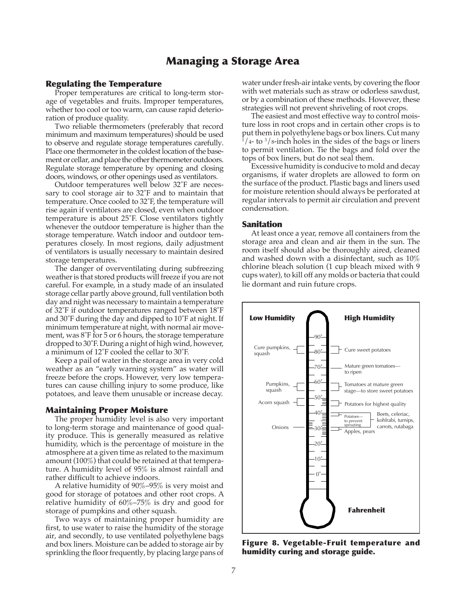## Managing a Storage Area

#### Regulating the Temperature

Proper temperatures are critical to long-term storage of vegetables and fruits. Improper temperatures, whether too cool or too warm, can cause rapid deterioration of produce quality.

Two reliable thermometers (preferably that record minimum and maximum temperatures) should be used to observe and regulate storage temperatures carefully. Place one thermometer in the coldest location of the basement or cellar, and place the other thermometer outdoors. Regulate storage temperature by opening and closing doors, windows, or other openings used as ventilators.

Outdoor temperatures well below 32˚F are necessary to cool storage air to 32˚F and to maintain that temperature. Once cooled to 32˚F, the temperature will rise again if ventilators are closed, even when outdoor temperature is about 25˚F. Close ventilators tightly whenever the outdoor temperature is higher than the storage temperature. Watch indoor and outdoor temperatures closely. In most regions, daily adjustment of ventilators is usually necessary to maintain desired storage temperatures.

The danger of overventilating during subfreezing weather is that stored products will freeze if you are not careful. For example, in a study made of an insulated storage cellar partly above ground, full ventilation both day and night was necessary to maintain a temperature of 32˚F if outdoor temperatures ranged between 18˚F and 30˚F during the day and dipped to 10˚F at night. If minimum temperature at night, with normal air movement, was 8˚F for 5 or 6 hours, the storage temperature dropped to 30˚F. During a night of high wind, however, a minimum of 12˚F cooled the cellar to 30˚F.

Keep a pail of water in the storage area in very cold weather as an "early warning system" as water will freeze before the crops. However, very low temperatures can cause chilling injury to some produce, like potatoes, and leave them unusable or increase decay.

#### Maintaining Proper Moisture

The proper humidity level is also very important to long-term storage and maintenance of good quality produce. This is generally measured as relative humidity, which is the percentage of moisture in the atmosphere at a given time as related to the maximum amount (100%) that could be retained at that temperature. A humidity level of 95% is almost rainfall and rather difficult to achieve indoors.

A relative humidity of 90%–95% is very moist and good for storage of potatoes and other root crops. A relative humidity of 60%–75% is dry and good for storage of pumpkins and other squash.

Two ways of maintaining proper humidity are first, to use water to raise the humidity of the storage air, and secondly, to use ventilated polyethylene bags and box liners. Moisture can be added to storage air by sprinkling the floor frequently, by placing large pans of water under fresh-air intake vents, by covering the floor with wet materials such as straw or odorless sawdust, or by a combination of these methods. However, these strategies will not prevent shriveling of root crops.

The easiest and most effective way to control moisture loss in root crops and in certain other crops is to put them in polyethylene bags or box liners. Cut many<br><sup>1</sup>/4- to <sup>3</sup>/8-inch holes in the sides of the bags or liners to permit ventilation. Tie the bags and fold over the tops of box liners, but do not seal them.

Excessive humidity is conducive to mold and decay organisms, if water droplets are allowed to form on the surface of the product. Plastic bags and liners used for moisture retention should always be perforated at regular intervals to permit air circulation and prevent condensation.

#### Sanitation

At least once a year, remove all containers from the storage area and clean and air them in the sun. The room itself should also be thoroughly aired, cleaned and washed down with a disinfectant, such as 10% chlorine bleach solution (1 cup bleach mixed with 9 cups water), to kill off any molds or bacteria that could lie dormant and ruin future crops.



Figure 8. Vegetable-Fruit temperature and humidity curing and storage guide.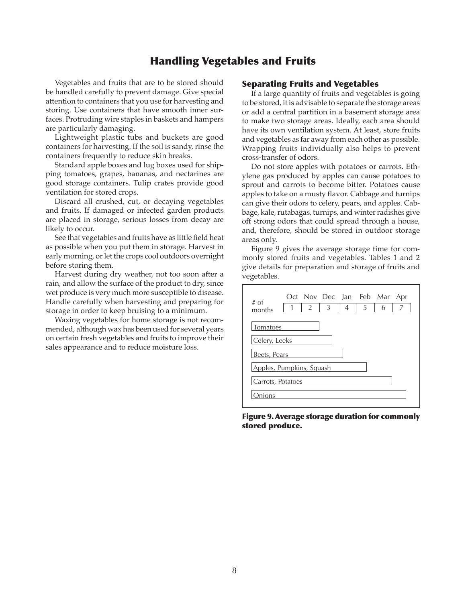## Handling Vegetables and Fruits

Vegetables and fruits that are to be stored should be handled carefully to prevent damage. Give special attention to containers that you use for harvesting and storing. Use containers that have smooth inner surfaces. Protruding wire staples in baskets and hampers are particularly damaging.

Lightweight plastic tubs and buckets are good containers for harvesting. If the soil is sandy, rinse the containers frequently to reduce skin breaks.

Standard apple boxes and lug boxes used for shipping tomatoes, grapes, bananas, and nectarines are good storage containers. Tulip crates provide good ventilation for stored crops.

Discard all crushed, cut, or decaying vegetables and fruits. If damaged or infected garden products are placed in storage, serious losses from decay are likely to occur.

See that vegetables and fruits have as little field heat as possible when you put them in storage. Harvest in early morning, or let the crops cool outdoors overnight before storing them.

Harvest during dry weather, not too soon after a rain, and allow the surface of the product to dry, since wet produce is very much more susceptible to disease. Handle carefully when harvesting and preparing for storage in order to keep bruising to a minimum.

Waxing vegetables for home storage is not recommended, although wax has been used for several years on certain fresh vegetables and fruits to improve their sales appearance and to reduce moisture loss.

#### Separating Fruits and Vegetables

If a large quantity of fruits and vegetables is going to be stored, it is advisable to separate the storage areas or add a central partition in a basement storage area to make two storage areas. Ideally, each area should have its own ventilation system. At least, store fruits and vegetables as far away from each other as possible. Wrapping fruits individually also helps to prevent cross-transfer of odors.

Do not store apples with potatoes or carrots. Ethylene gas produced by apples can cause potatoes to sprout and carrots to become bitter. Potatoes cause apples to take on a musty flavor. Cabbage and turnips can give their odors to celery, pears, and apples. Cabbage, kale, rutabagas, turnips, and winter radishes give off strong odors that could spread through a house, and, therefore, should be stored in outdoor storage areas only.

Figure 9 gives the average storage time for commonly stored fruits and vegetables. Tables 1 and 2 give details for preparation and storage of fruits and vegetables.



Figure 9. Average storage duration for commonly stored produce.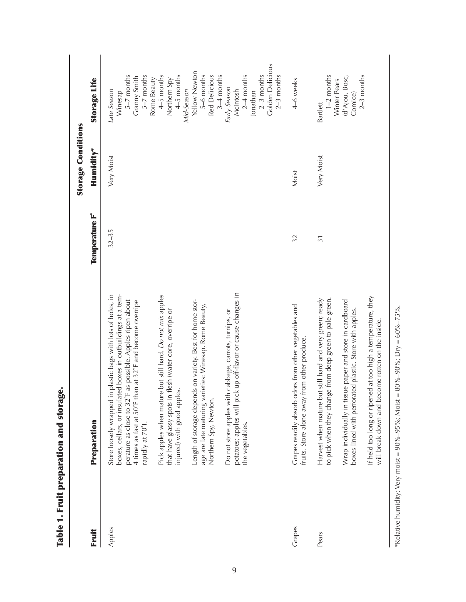|        |                                                                                                                                                                                                                                                                                                                                                               |                 | <b>Storage Conditions</b> |                                                                                                                 |
|--------|---------------------------------------------------------------------------------------------------------------------------------------------------------------------------------------------------------------------------------------------------------------------------------------------------------------------------------------------------------------|-----------------|---------------------------|-----------------------------------------------------------------------------------------------------------------|
| Fruit  | Preparation                                                                                                                                                                                                                                                                                                                                                   | Temperature F°  | Humidity*                 | <b>Storage Life</b>                                                                                             |
| Apples | plastic bags with lots of holes, in<br>boxes, cellars, or insulated boxes in outbuildings at a tem-<br>perature as close to 32°F as possible. Apples ripen about<br>4 times as fast at 50°F than at 32°F and become overripe<br>Store loosely wrapped in<br>rapidly at 70°F.                                                                                  | $32 - 35$       | Very Moist                | 5-7 months<br>$5-7$ months<br>Granny Smith<br>Rome Beauty<br>Late Season<br>Winesap                             |
|        | Pick apples when mature but still hard. Do not mix apples<br>that have glassy spots in flesh (water core, overripe or<br>injured) with good apples.                                                                                                                                                                                                           |                 |                           | 4-5 months<br>4-5 months<br>Northern Spy<br>Mid-Season                                                          |
|        | Length of storage depends on variety. Best for home stor-<br>age are late maturing varieties: Winesap, Rome Beauty,<br>Northern Spy, Newton.                                                                                                                                                                                                                  |                 |                           | Yellow Newton<br>5-6 months<br>Red Delicious<br>$3-4$ months                                                    |
|        | potatoes; apples will pick up off-flavor or cause changes in<br>cabbage, carrots, turnips, or<br>Do not store apples with<br>the vegetables.                                                                                                                                                                                                                  |                 |                           | <b>Golden Delicious</b><br>$2-4$ months<br>$2-3$ months<br>$2-3$ months<br>Early Season<br>McIntosh<br>Jonathan |
| Grapes | lors from other vegetables and<br>fruits. Store alone away from other produce.<br>Grapes readily absorb od                                                                                                                                                                                                                                                    | 32              | Moist                     | 4-6 weeks                                                                                                       |
| Pears  | If held too long or ripened at too high a temperature, they<br>Harvest when mature but still hard and very green; ready<br>to pick when they change from deep green to pale green.<br>Wrap individually in tissue paper and store in cardboard<br>boxes lined with perforated plastic. Store with apples.<br>will break down and become rotten on the inside. | $\overline{31}$ | Very Moist                | $1-2$ months<br>(d'Ajou, Bosc,<br>$2-3$ months<br>Winter Pears<br>Comice)<br><b>Bartlett</b>                    |

Table 1. Fruit preparation and storage. Table 1. Fruit preparation and storage.

\*Relative humidity: Very moist = 90%-95%; Moist = 80%-90%; Dry =  $60\%$ -75%.  $^*$ Relative humidity: Very moist = 90%–95%; Moist = 80%–90%; Dry = 60%–75%.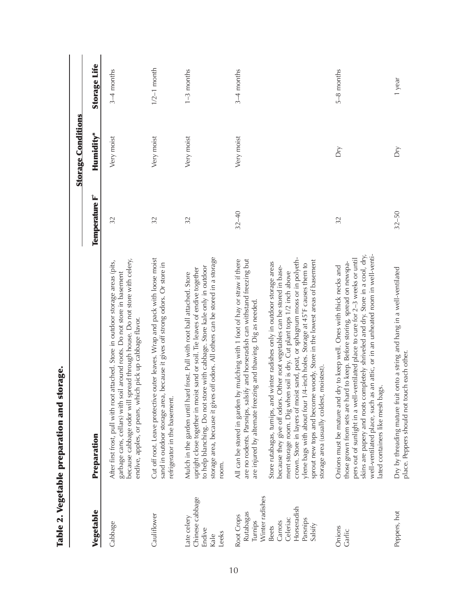|                                                                                                             |                                                                                                                                                                                                                                                                                                                                                                                                                                                                                                                                                       |                | <b>Storage Conditions</b> |                     |
|-------------------------------------------------------------------------------------------------------------|-------------------------------------------------------------------------------------------------------------------------------------------------------------------------------------------------------------------------------------------------------------------------------------------------------------------------------------------------------------------------------------------------------------------------------------------------------------------------------------------------------------------------------------------------------|----------------|---------------------------|---------------------|
| Vegetable                                                                                                   | Preparation                                                                                                                                                                                                                                                                                                                                                                                                                                                                                                                                           | Temperature F° | Humidity*                 | <b>Storage Life</b> |
| Cabbage                                                                                                     | because cabbage odor will spread through house. Do not store with celery,<br>After first frost, pull with root attached. Store in outdoor storage areas (pits,<br>il around roots. Do not store in basement<br>endive, apples, or pears, which pick up cabbage flavor.<br>garbage cans, cellars) with so                                                                                                                                                                                                                                              | 32             | Very moist                | $3-4$ months        |
| Cauliflower                                                                                                 | outer leaves. Wrap and pack with loose moist<br>because it gives off strong odors. Or store in<br>Cut off root. Leave protective<br>sand in outdoor storage area,<br>refrigerator in the basement.                                                                                                                                                                                                                                                                                                                                                    | 32             | Very moist                | $1/2-1$ month       |
| Chinese cabbage<br>Late celery<br>Endive<br>Leeks<br>Kale                                                   | off odors. All others can be stored in a storage<br>to help blanching. Do not store with cabbage. Store kale only in outdoor<br>upright close together in moist sand or soil. Tie leaves of endive together<br>Mulch in the garden until hard frost. Pull with root ball attached. Store<br>storage area, because it gives<br>room.                                                                                                                                                                                                                   | 32             | Very moist                | $1 - 3$ months      |
| Winter radishes<br>Horseradish<br>Rutabagas<br>Root Crops<br>Celeriac<br>Turnips<br>Carrots<br><b>Beets</b> | crown. Store in layers of moist sand, peat, or sphagnum moss or in polyeth-<br>All can be stored in garden by mulching with 1 foot of hay or straw if there<br>are no rodents. Parsnips, salsify and horseradish can withstand freezing but<br>winter radishes only in outdoor storage areas<br>because they give off odors. Other root vegetables can be stored in base-<br>ment storage room. Dig when soil is dry. Cut plant tops 1/2 inch above<br>are injured by alternate freezing and thawing. Dig as needed.<br>Store rutabagas, turnips, and | $32 - 40$      | Very moist                | $3-4$ months        |
| Parsnips<br>Salsify                                                                                         | woody. Store in the lowest areas of basement<br>ylene bags with about four 1/4-inch holes. Storage at 45°F causes them to<br>moistest).<br>sprout new tops and become<br>storage area (usually coldest,                                                                                                                                                                                                                                                                                                                                               |                |                           |                     |
| Onions<br>Garlic                                                                                            | skins are papery and roots completely shriveled and dry. Store in a cool, dry,<br>well-ventilated place, such as an attic, or in an unheated room in well-venti-<br>pers out of sunlight in a well-ventilated place to cure for 2-3 weeks or until<br>those grown from sets are hard to keep. Before storing, spread on newspa-<br>Onions must be mature and dry to keep well. Ones with thick necks and<br>ated containers like mesh bags.                                                                                                           | 32             | Dry                       | $5-8$ months        |
| Peppers, hot                                                                                                | Dry by threading mature fruit onto a string and hang in a well-ventilated<br>place. Peppers should not touch each other.                                                                                                                                                                                                                                                                                                                                                                                                                              | $32 - 50$      | Dη                        | 1 year              |

Table 2. Vegetable preparation and storage. Table 2. Vegetable preparation and storage.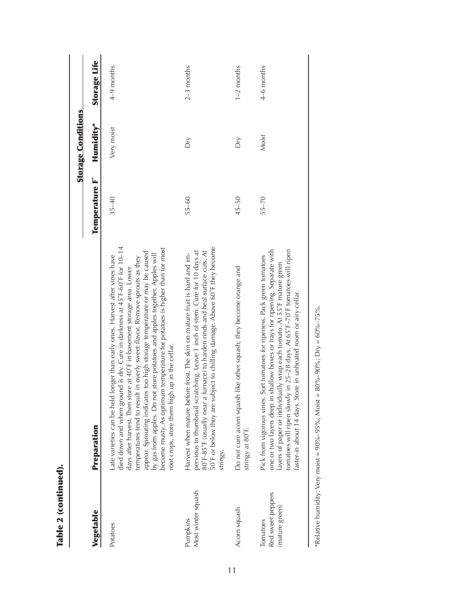|                                                 |                                                                                                                                                                                                                                                                                                                                                                                                                                                                                                                                                                                                                  |                | <b>Storage Conditions</b> |                     |
|-------------------------------------------------|------------------------------------------------------------------------------------------------------------------------------------------------------------------------------------------------------------------------------------------------------------------------------------------------------------------------------------------------------------------------------------------------------------------------------------------------------------------------------------------------------------------------------------------------------------------------------------------------------------------|----------------|---------------------------|---------------------|
| Vegetable                                       | Preparation                                                                                                                                                                                                                                                                                                                                                                                                                                                                                                                                                                                                      | Temperature F° | Humidity*                 | <b>Storage Life</b> |
| Potatoes                                        | died down and when ground is dry. Cure in darkness at 45°F-60°F for 10-14<br>become musty. As optimum temperature for potatoes is higher than for most<br>appear. Sprouting indicates too high storage temperature or may be caused<br>store potatoes and apples together. Apples will<br>onger than early ones. Harvest after vines have<br>in overly sweet flavor. Remove sprouts as they<br>days after harvest. Then store at 40°F in basement storage area. Lower<br>root crops, store them high up in the cellar.<br>temperatures tend to result<br>by gas from apples. Do not<br>ate varieties can be held | $35 - 40$      | Very moist                | $4-9$ months        |
| Most winter squash<br>Pumpkins                  | 50°F or below they are subject to chilling damage. Above 60°F they become<br>pervious to thumbnail scratching. Leave 1 inch of stem. Cure for 10 days at<br>80°F-85°F (usually near a furnace) to harden rinds and heal surface cuts. At<br>Harvest when mature before frost. The skin on mature fruit is hard and im-<br>stringy.                                                                                                                                                                                                                                                                               | $55 - 60$      | Dγ                        | $2-3$ months        |
| Acorn squash                                    | like other squash; they become orange and<br>Do not cure acorn squash<br>stringy at 80°F.                                                                                                                                                                                                                                                                                                                                                                                                                                                                                                                        | $45 - 50$      | δř                        | $1-2$ months        |
| Red sweet peppers<br>(mature green)<br>Tomatoes | one or two layers deep in shallow boxes or trays for ripening. Separate with<br>tomatoes will ripen slowly in 25-28 days. At 65°F-70°F tomatoes will ripen<br>Pick from vigorous vines. Sort tomatoes for ripeness. Pack green tomatoes<br>ayers of paper or individually wrap each tomato. At 55°F mature green<br>faster-in about 14 days. Store in unheated room or airy cellar.                                                                                                                                                                                                                              | $55 - 70$      | Moist                     | 4–6 months          |

\*Relative humidity: Very moist =  $90\% - 95\%$ ; Moist =  $80\% - 90\%$ ; Dry =  $60\% - 75\%$ .  $^*$ Relative humidity: Very moist = 90%–95%; Moist = 80%–90%; Dry = 60%–75%.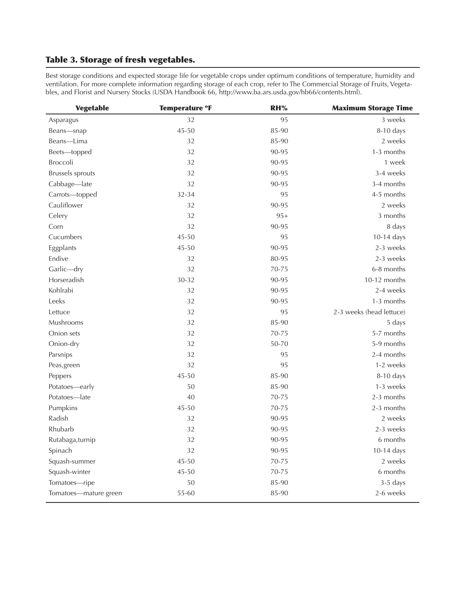## Table 3. Storage of fresh vegetables.

Best storage conditions and expected storage life for vegetable crops under optimum conditions of temperature, humidity and ventilation. For more complete information regarding storage of each crop, refer to The Commercial Storage of Fruits, Vegetables, and Florist and Nursery Stocks (USDA Handbook 66, [http://www.ba.ars.usda.gov/hb66/contents.html\)](http://www.ba.ars.usda.gov/hb66/contents.html).

| <b>Vegetable</b>        | <b>Temperature °F</b> | RH%   | <b>Maximum Storage Time</b> |
|-------------------------|-----------------------|-------|-----------------------------|
| Asparagus               | 32                    | 95    | 3 weeks                     |
| Beans—snap              | 45-50                 | 85-90 | $8-10$ days                 |
| Beans-Lima              | 32                    | 85-90 | 2 weeks                     |
| Beets-topped            | 32                    | 90-95 | 1-3 months                  |
| <b>Broccoli</b>         | 32                    | 90-95 | 1 week                      |
| <b>Brussels</b> sprouts | 32                    | 90-95 | 3-4 weeks                   |
| Cabbage-late            | 32                    | 90-95 | 3-4 months                  |
| Carrots-topped          | 32-34                 | 95    | 4-5 months                  |
| Cauliflower             | 32                    | 90-95 | 2 weeks                     |
| Celery                  | 32                    | $95+$ | 3 months                    |
| Corn                    | 32                    | 90-95 | 8 days                      |
| Cucumbers               | 45-50                 | 95    | 10-14 days                  |
| Eggplants               | 45-50                 | 90-95 | 2-3 weeks                   |
| Endive                  | 32                    | 80-95 | 2-3 weeks                   |
| Garlic-dry              | 32                    | 70-75 | 6-8 months                  |
| Horseradish             | 30-32                 | 90-95 | 10-12 months                |
| Kohlrabi                | 32                    | 90-95 | 2-4 weeks                   |
| Leeks                   | 32                    | 90-95 | 1-3 months                  |
| Lettuce                 | 32                    | 95    | 2-3 weeks (head lettuce)    |
| Mushrooms               | 32                    | 85-90 | 5 days                      |
| Onion sets              | 32                    | 70-75 | 5-7 months                  |
| Onion-dry               | 32                    | 50-70 | 5-9 months                  |
| Parsnips                | 32                    | 95    | 2-4 months                  |
| Peas, green             | 32                    | 95    | 1-2 weeks                   |
| Peppers                 | $45 - 50$             | 85-90 | 8-10 days                   |
| Potatoes-early          | 50                    | 85-90 | 1-3 weeks                   |
| Potatoes-late           | 40                    | 70-75 | 2-3 months                  |
| Pumpkins                | 45-50                 | 70-75 | 2-3 months                  |
| Radish                  | 32                    | 90-95 | 2 weeks                     |
| Rhubarb                 | 32                    | 90-95 | 2-3 weeks                   |
| Rutabaga, turnip        | 32                    | 90-95 | 6 months                    |
| Spinach                 | 32                    | 90-95 | 10-14 days                  |
| Squash-summer           | 45-50                 | 70-75 | 2 weeks                     |
| Squash-winter           | 45-50                 | 70-75 | 6 months                    |
| Tomatoes-ripe           | 50                    | 85-90 | $3-5$ days                  |
| Tomatoes-mature green   | 55-60                 | 85-90 | 2-6 weeks                   |